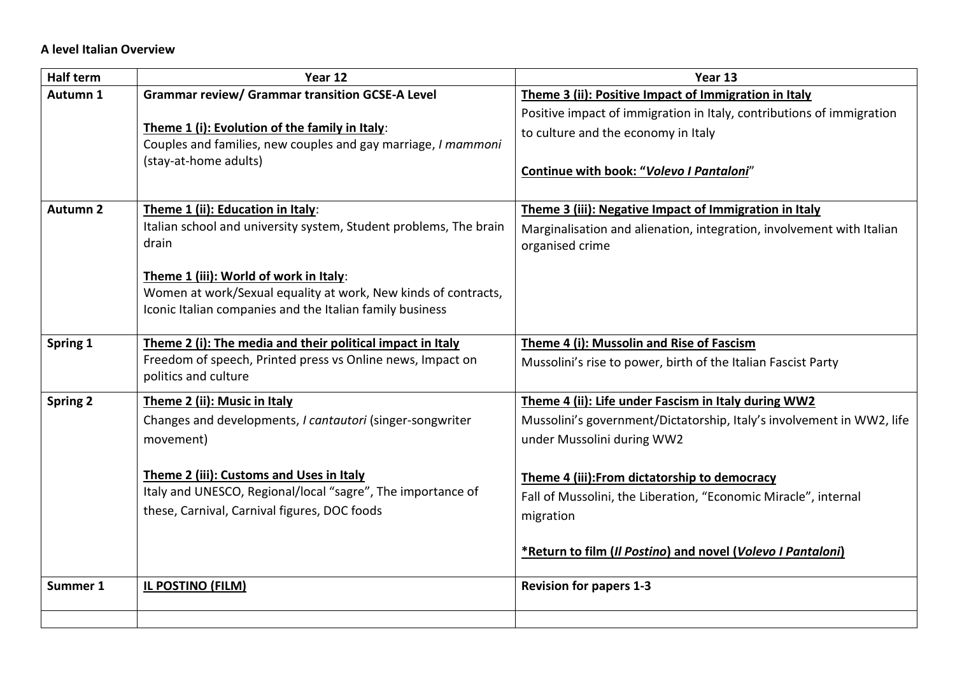## **A level Italian Overview**

| <b>Half term</b> | Year 12                                                           | Year 13                                                               |
|------------------|-------------------------------------------------------------------|-----------------------------------------------------------------------|
| Autumn 1         | <b>Grammar review/ Grammar transition GCSE-A Level</b>            | Theme 3 (ii): Positive Impact of Immigration in Italy                 |
|                  |                                                                   | Positive impact of immigration in Italy, contributions of immigration |
|                  | Theme 1 (i): Evolution of the family in Italy:                    | to culture and the economy in Italy                                   |
|                  | Couples and families, new couples and gay marriage, I mammoni     |                                                                       |
|                  | (stay-at-home adults)                                             | Continue with book: "Volevo I Pantaloni"                              |
|                  |                                                                   |                                                                       |
| <b>Autumn 2</b>  | Theme 1 (ii): Education in Italy:                                 | Theme 3 (iii): Negative Impact of Immigration in Italy                |
|                  | Italian school and university system, Student problems, The brain | Marginalisation and alienation, integration, involvement with Italian |
|                  | drain                                                             | organised crime                                                       |
|                  |                                                                   |                                                                       |
|                  | Theme 1 (iii): World of work in Italy:                            |                                                                       |
|                  | Women at work/Sexual equality at work, New kinds of contracts,    |                                                                       |
|                  | Iconic Italian companies and the Italian family business          |                                                                       |
|                  |                                                                   |                                                                       |
| Spring 1         | Theme 2 (i): The media and their political impact in Italy        | Theme 4 (i): Mussolin and Rise of Fascism                             |
|                  | Freedom of speech, Printed press vs Online news, Impact on        | Mussolini's rise to power, birth of the Italian Fascist Party         |
|                  | politics and culture                                              |                                                                       |
| <b>Spring 2</b>  | Theme 2 (ii): Music in Italy                                      | Theme 4 (ii): Life under Fascism in Italy during WW2                  |
|                  | Changes and developments, I cantautori (singer-songwriter         | Mussolini's government/Dictatorship, Italy's involvement in WW2, life |
|                  | movement)                                                         | under Mussolini during WW2                                            |
|                  |                                                                   |                                                                       |
|                  | Theme 2 (iii): Customs and Uses in Italy                          | Theme 4 (iii): From dictatorship to democracy                         |
|                  | Italy and UNESCO, Regional/local "sagre", The importance of       | Fall of Mussolini, the Liberation, "Economic Miracle", internal       |
|                  | these, Carnival, Carnival figures, DOC foods                      | migration                                                             |
|                  |                                                                   |                                                                       |
|                  |                                                                   | *Return to film (Il Postino) and novel (Volevo I Pantaloni)           |
|                  |                                                                   |                                                                       |
| Summer 1         | <b>IL POSTINO (FILM)</b>                                          | <b>Revision for papers 1-3</b>                                        |
|                  |                                                                   |                                                                       |
|                  |                                                                   |                                                                       |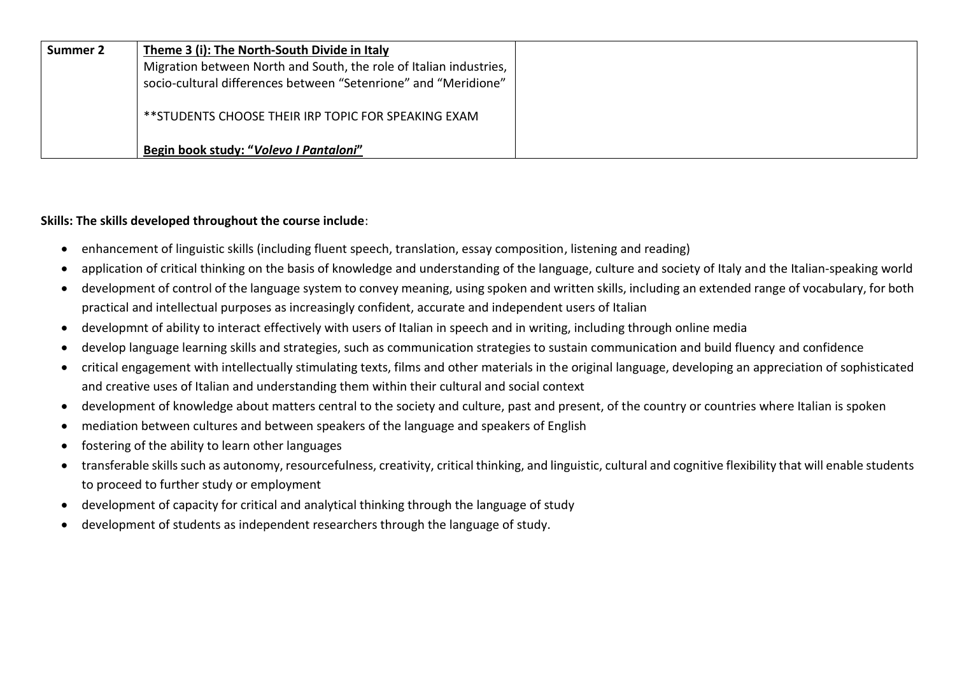| Summer 2 | Theme 3 (i): The North-South Divide in Italy                       |  |
|----------|--------------------------------------------------------------------|--|
|          | Migration between North and South, the role of Italian industries, |  |
|          | socio-cultural differences between "Setenrione" and "Meridione"    |  |
|          | ** STUDENTS CHOOSE THEIR IRP TOPIC FOR SPEAKING EXAM               |  |
|          | Begin book study: "Volevo I Pantaloni"                             |  |

## **Skills: The skills developed throughout the course include**:

- enhancement of linguistic skills (including fluent speech, translation, essay composition, listening and reading)
- application of critical thinking on the basis of knowledge and understanding of the language, culture and society of Italy and the Italian-speaking world
- development of control of the language system to convey meaning, using spoken and written skills, including an extended range of vocabulary, for both practical and intellectual purposes as increasingly confident, accurate and independent users of Italian
- developmnt of ability to interact effectively with users of Italian in speech and in writing, including through online media
- develop language learning skills and strategies, such as communication strategies to sustain communication and build fluency and confidence
- critical engagement with intellectually stimulating texts, films and other materials in the original language, developing an appreciation of sophisticated and creative uses of Italian and understanding them within their cultural and social context
- development of knowledge about matters central to the society and culture, past and present, of the country or countries where Italian is spoken
- mediation between cultures and between speakers of the language and speakers of English
- fostering of the ability to learn other languages
- transferable skills such as autonomy, resourcefulness, creativity, critical thinking, and linguistic, cultural and cognitive flexibility that will enable students to proceed to further study or employment
- development of capacity for critical and analytical thinking through the language of study
- development of students as independent researchers through the language of study.